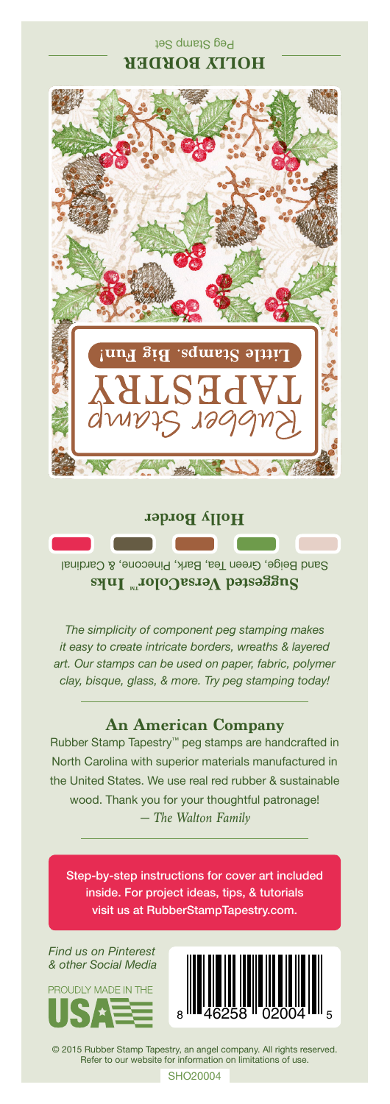## Peg Stamp Set **HOLLY BORDER**



**Holly Border**

Sand Beige, Green Tea, Bark, Pinecone, & Cardinal **Suggested VersaColor** Inks

*The simplicity of component peg stamping makes it easy to create intricate borders, wreaths & layered art. Our stamps can be used on paper, fabric, polymer clay, bisque, glass, & more. Try peg stamping today!*

## **An American Company**

*— The Walton Family* Rubber Stamp Tapestry™ peg stamps are handcrafted in North Carolina with superior materials manufactured in the United States. We use real red rubber & sustainable wood. Thank you for your thoughtful patronage!

Step-by-step instructions for cover art included inside. For project ideas, tips, & tutorials visit us at RubberStampTapestry.com.

*Find us on Pinterest & other Social Media*





© 2015 Rubber Stamp Tapestry, an angel company. All rights reserved. Refer to our website for information on limitations of use.